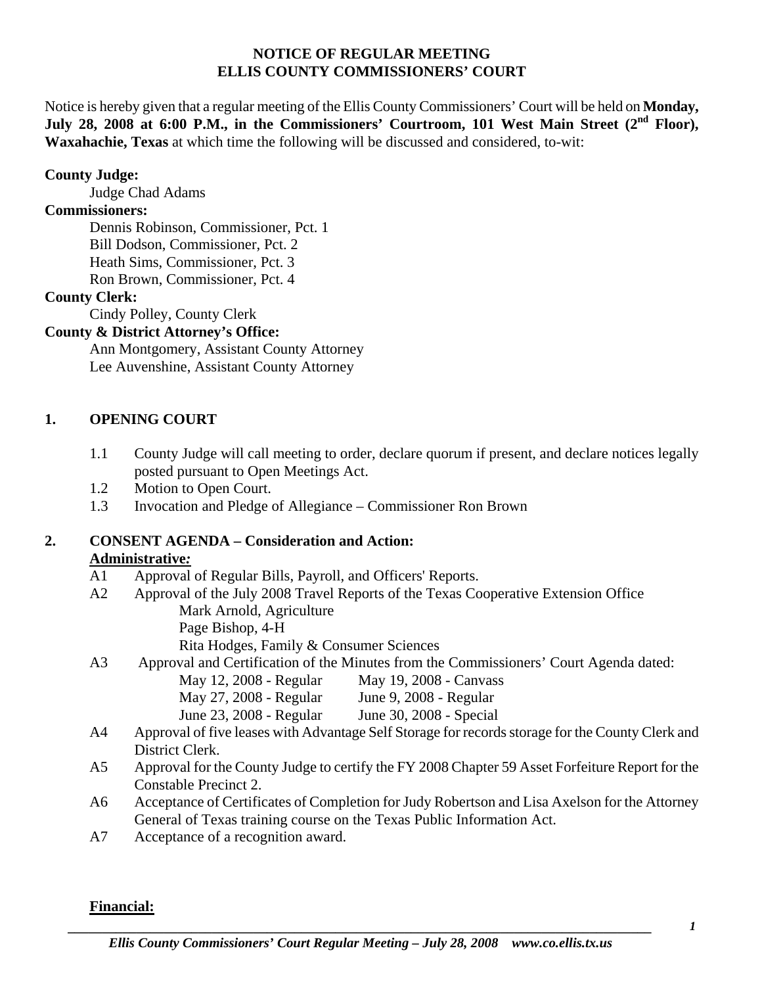#### **NOTICE OF REGULAR MEETING ELLIS COUNTY COMMISSIONERS' COURT**

Notice is hereby given that a regular meeting of the Ellis County Commissioners' Court will be held on **Monday,**  July 28, 2008 at 6:00 P.M., in the Commissioners' Courtroom, 101 West Main Street (2<sup>nd</sup> Floor), **Waxahachie, Texas** at which time the following will be discussed and considered, to-wit:

### **County Judge:**

Judge Chad Adams

### **Commissioners:**

 Dennis Robinson, Commissioner, Pct. 1 Bill Dodson, Commissioner, Pct. 2 Heath Sims, Commissioner, Pct. 3 Ron Brown, Commissioner, Pct. 4

### **County Clerk:**

Cindy Polley, County Clerk

## **County & District Attorney's Office:**

 Ann Montgomery, Assistant County Attorney Lee Auvenshine, Assistant County Attorney

## **1. OPENING COURT**

- 1.1 County Judge will call meeting to order, declare quorum if present, and declare notices legally posted pursuant to Open Meetings Act.
- 1.2 Motion to Open Court.
- 1.3 Invocation and Pledge of Allegiance Commissioner Ron Brown

#### **2. CONSENT AGENDA – Consideration and Action: Administrative***:*

- A1 Approval of Regular Bills, Payroll, and Officers' Reports.
- A2 Approval of the July 2008 Travel Reports of the Texas Cooperative Extension Office Mark Arnold, Agriculture Page Bishop, 4-H
	- Rita Hodges, Family & Consumer Sciences

# A3 Approval and Certification of the Minutes from the Commissioners' Court Agenda dated:

- May 12, 2008 Regular May 19, 2008 Canvass
- May 27, 2008 Regular June 9, 2008 Regular
- June 23, 2008 Regular June 30, 2008 Special
- A4 Approval of five leases with Advantage Self Storage for records storage for the County Clerk and District Clerk.
- A5 Approval for the County Judge to certify the FY 2008 Chapter 59 Asset Forfeiture Report for the Constable Precinct 2.
- A6 Acceptance of Certificates of Completion for Judy Robertson and Lisa Axelson for the Attorney General of Texas training course on the Texas Public Information Act.
- A7 Acceptance of a recognition award.

# **Financial:**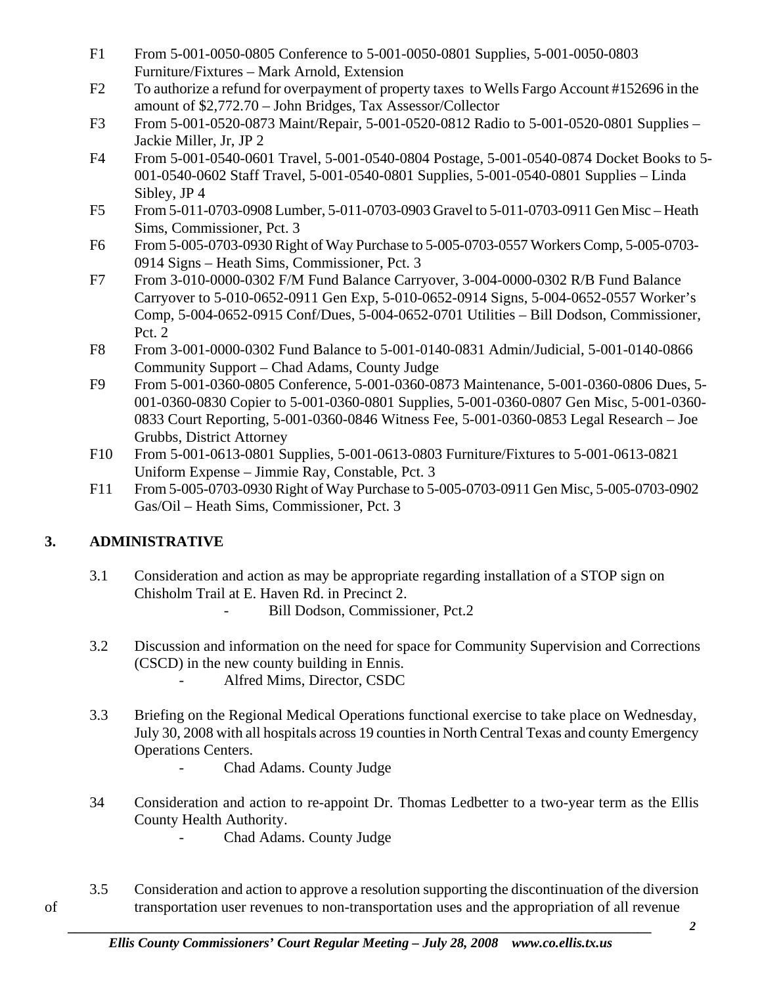- F1 From 5-001-0050-0805 Conference to 5-001-0050-0801 Supplies, 5-001-0050-0803 Furniture/Fixtures – Mark Arnold, Extension
- F2 To authorize a refund for overpayment of property taxes to Wells Fargo Account #152696 in the amount of \$2,772.70 – John Bridges, Tax Assessor/Collector
- F3 From 5-001-0520-0873 Maint/Repair, 5-001-0520-0812 Radio to 5-001-0520-0801 Supplies Jackie Miller, Jr, JP 2
- F4 From 5-001-0540-0601 Travel, 5-001-0540-0804 Postage, 5-001-0540-0874 Docket Books to 5- 001-0540-0602 Staff Travel, 5-001-0540-0801 Supplies, 5-001-0540-0801 Supplies – Linda Sibley, JP 4
- F5 From 5-011-0703-0908 Lumber, 5-011-0703-0903 Gravel to 5-011-0703-0911 Gen Misc Heath Sims, Commissioner, Pct. 3
- F6 From 5-005-0703-0930 Right of Way Purchase to 5-005-0703-0557 Workers Comp, 5-005-0703- 0914 Signs – Heath Sims, Commissioner, Pct. 3
- F7 From 3-010-0000-0302 F/M Fund Balance Carryover, 3-004-0000-0302 R/B Fund Balance Carryover to 5-010-0652-0911 Gen Exp, 5-010-0652-0914 Signs, 5-004-0652-0557 Worker's Comp, 5-004-0652-0915 Conf/Dues, 5-004-0652-0701 Utilities – Bill Dodson, Commissioner, Pct.  $2$
- F8 From 3-001-0000-0302 Fund Balance to 5-001-0140-0831 Admin/Judicial, 5-001-0140-0866 Community Support – Chad Adams, County Judge
- F9 From 5-001-0360-0805 Conference, 5-001-0360-0873 Maintenance, 5-001-0360-0806 Dues, 5- 001-0360-0830 Copier to 5-001-0360-0801 Supplies, 5-001-0360-0807 Gen Misc, 5-001-0360- 0833 Court Reporting, 5-001-0360-0846 Witness Fee, 5-001-0360-0853 Legal Research – Joe Grubbs, District Attorney
- F10 From 5-001-0613-0801 Supplies, 5-001-0613-0803 Furniture/Fixtures to 5-001-0613-0821 Uniform Expense – Jimmie Ray, Constable, Pct. 3
- F11 From 5-005-0703-0930 Right of Way Purchase to 5-005-0703-0911 Gen Misc, 5-005-0703-0902 Gas/Oil – Heath Sims, Commissioner, Pct. 3

# **3. ADMINISTRATIVE**

- 3.1 Consideration and action as may be appropriate regarding installation of a STOP sign on Chisholm Trail at E. Haven Rd. in Precinct 2.
	- **Bill Dodson, Commissioner, Pct.2**
- 3.2 Discussion and information on the need for space for Community Supervision and Corrections (CSCD) in the new county building in Ennis.
	- Alfred Mims, Director, CSDC
- 3.3 Briefing on the Regional Medical Operations functional exercise to take place on Wednesday, July 30, 2008 with all hospitals across 19 counties in North Central Texas and county Emergency Operations Centers.
	- Chad Adams. County Judge
- 34 Consideration and action to re-appoint Dr. Thomas Ledbetter to a two-year term as the Ellis County Health Authority.
	- Chad Adams. County Judge
- 3.5 Consideration and action to approve a resolution supporting the discontinuation of the diversion of transportation user revenues to non-transportation uses and the appropriation of all revenue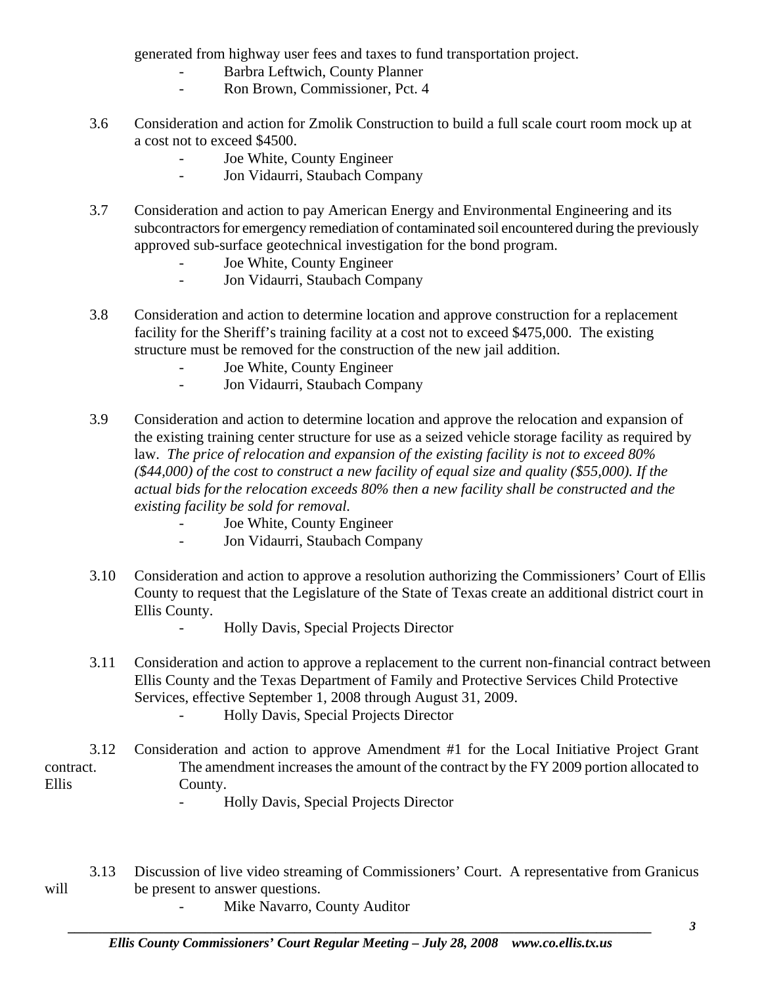generated from highway user fees and taxes to fund transportation project.

- Barbra Leftwich, County Planner
- Ron Brown, Commissioner, Pct. 4
- 3.6 Consideration and action for Zmolik Construction to build a full scale court room mock up at a cost not to exceed \$4500.
	- Joe White, County Engineer
	- Jon Vidaurri, Staubach Company
- 3.7 Consideration and action to pay American Energy and Environmental Engineering and its subcontractors for emergency remediation of contaminated soil encountered during the previously approved sub-surface geotechnical investigation for the bond program.
	- Joe White, County Engineer
	- Jon Vidaurri, Staubach Company
- 3.8 Consideration and action to determine location and approve construction for a replacement facility for the Sheriff's training facility at a cost not to exceed \$475,000. The existing structure must be removed for the construction of the new jail addition.
	- Joe White, County Engineer
	- Jon Vidaurri, Staubach Company
- 3.9 Consideration and action to determine location and approve the relocation and expansion of the existing training center structure for use as a seized vehicle storage facility as required by law. *The price of relocation and expansion of the existing facility is not to exceed 80% (\$44,000) of the cost to construct a new facility of equal size and quality (\$55,000). If the actual bids for the relocation exceeds 80% then a new facility shall be constructed and the existing facility be sold for removal.* 
	- Joe White, County Engineer
	- Jon Vidaurri, Staubach Company
- 3.10 Consideration and action to approve a resolution authorizing the Commissioners' Court of Ellis County to request that the Legislature of the State of Texas create an additional district court in Ellis County.
	- Holly Davis, Special Projects Director
- 3.11 Consideration and action to approve a replacement to the current non-financial contract between Ellis County and the Texas Department of Family and Protective Services Child Protective Services, effective September 1, 2008 through August 31, 2009.
	- Holly Davis, Special Projects Director

 3.12 Consideration and action to approve Amendment #1 for the Local Initiative Project Grant contract. The amendment increases the amount of the contract by the FY 2009 portion allocated to Ellis County.

- Holly Davis, Special Projects Director
- 3.13 Discussion of live video streaming of Commissioners' Court. A representative from Granicus will be present to answer questions.
	- Mike Navarro, County Auditor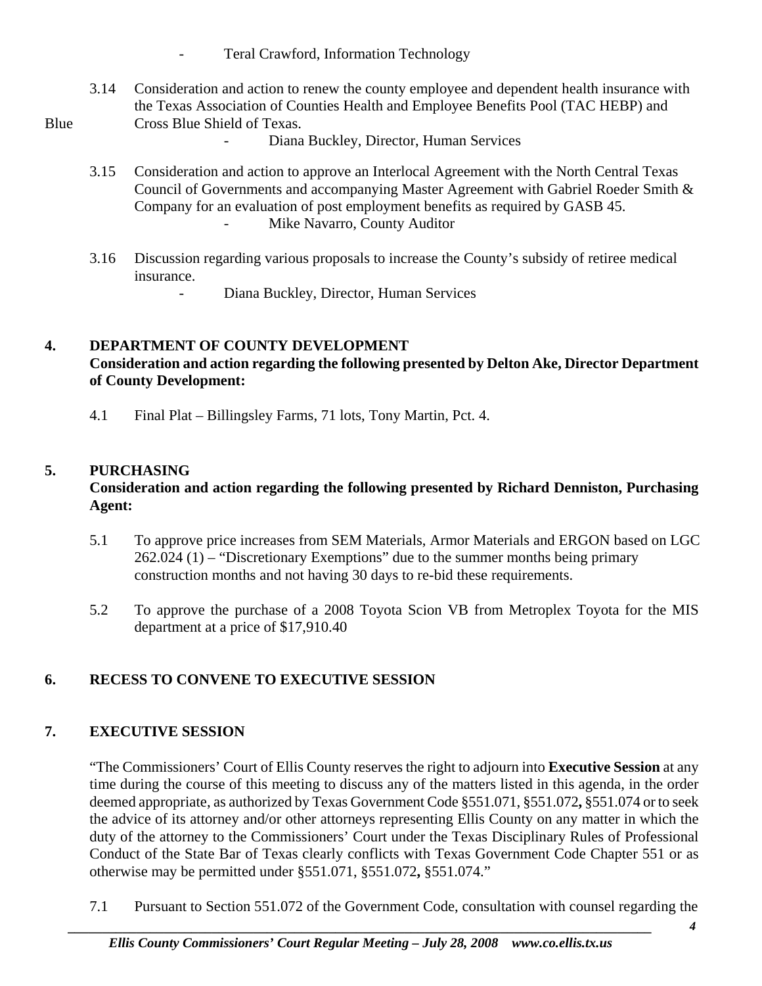- Teral Crawford, Information Technology
- 3.14 Consideration and action to renew the county employee and dependent health insurance with the Texas Association of Counties Health and Employee Benefits Pool (TAC HEBP) and Blue Cross Blue Shield of Texas.
	- Diana Buckley, Director, Human Services
	- 3.15 Consideration and action to approve an Interlocal Agreement with the North Central Texas Council of Governments and accompanying Master Agreement with Gabriel Roeder Smith & Company for an evaluation of post employment benefits as required by GASB 45. Mike Navarro, County Auditor
	- 3.16 Discussion regarding various proposals to increase the County's subsidy of retiree medical insurance.
		- Diana Buckley, Director, Human Services

#### **4. DEPARTMENT OF COUNTY DEVELOPMENT Consideration and action regarding the following presented by Delton Ake, Director Department of County Development:**

4.1 Final Plat – Billingsley Farms, 71 lots, Tony Martin, Pct. 4.

# **5. PURCHASING**

## **Consideration and action regarding the following presented by Richard Denniston, Purchasing Agent:**

- 5.1 To approve price increases from SEM Materials, Armor Materials and ERGON based on LGC 262.024 (1) – "Discretionary Exemptions" due to the summer months being primary construction months and not having 30 days to re-bid these requirements.
- 5.2 To approve the purchase of a 2008 Toyota Scion VB from Metroplex Toyota for the MIS department at a price of \$17,910.40

# **6. RECESS TO CONVENE TO EXECUTIVE SESSION**

# **7. EXECUTIVE SESSION**

"The Commissioners' Court of Ellis County reserves the right to adjourn into **Executive Session** at any time during the course of this meeting to discuss any of the matters listed in this agenda, in the order deemed appropriate, as authorized by Texas Government Code §551.071, §551.072**,** §551.074 or to seek the advice of its attorney and/or other attorneys representing Ellis County on any matter in which the duty of the attorney to the Commissioners' Court under the Texas Disciplinary Rules of Professional Conduct of the State Bar of Texas clearly conflicts with Texas Government Code Chapter 551 or as otherwise may be permitted under §551.071, §551.072**,** §551.074."

7.1 Pursuant to Section 551.072 of the Government Code, consultation with counsel regarding the